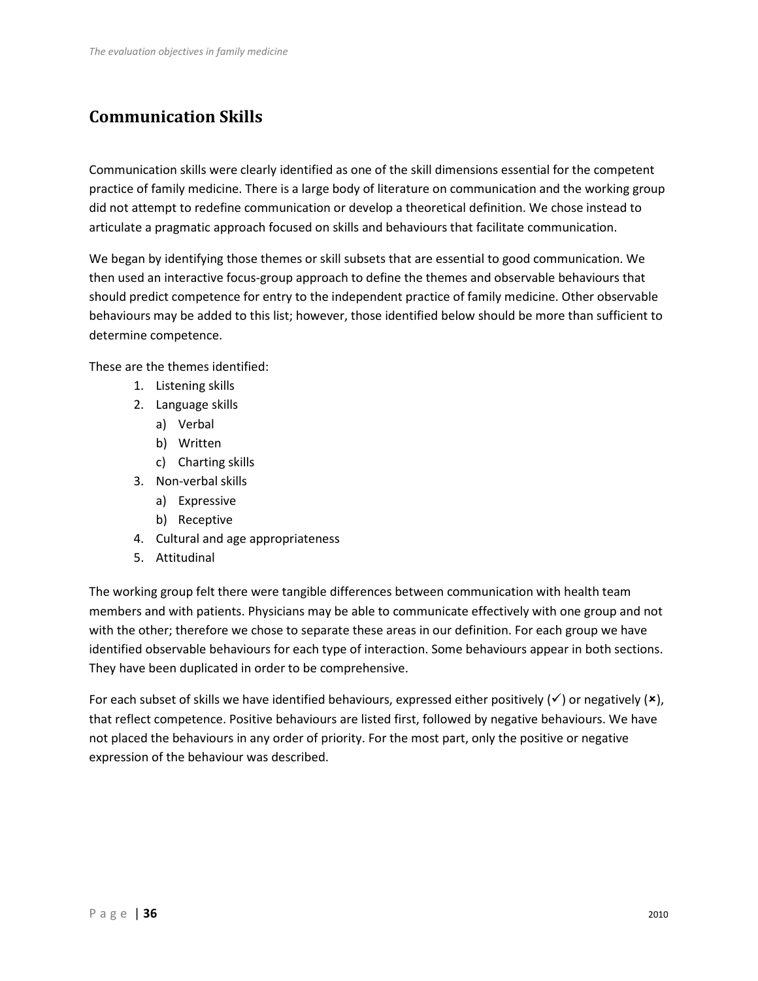# **Communication Skills**

Communication skills were clearly identified as one of the skill dimensions essential for the competent practice of family medicine. There is a large body of literature on communication and the working group did not attempt to redefine communication or develop a theoretical definition. We chose instead to articulate a pragmatic approach focused on skills and behaviours that facilitate communication.

We began by identifying those themes or skill subsets that are essential to good communication. We then used an interactive focus-group approach to define the themes and observable behaviours that should predict competence for entry to the independent practice of family medicine. Other observable behaviours may be added to this list; however, those identified below should be more than sufficient to determine competence.

These are the themes identified:

- 1. Listening skills
- 2. Language skills
	- a) Verbal
	- b) Written
	- c) Charting skills
- 3. Non-verbal skills
	- a) Expressive
	- b) Receptive
- 4. Cultural and age appropriateness
- 5. Attitudinal

The working group felt there were tangible differences between communication with health team members and with patients. Physicians may be able to communicate effectively with one group and not with the other; therefore we chose to separate these areas in our definition. For each group we have identified observable behaviours for each type of interaction. Some behaviours appear in both sections. They have been duplicated in order to be comprehensive.

For each subset of skills we have identified behaviours, expressed either positively ( $\checkmark$ ) or negatively ( $\checkmark$ ), that reflect competence. Positive behaviours are listed first, followed by negative behaviours. We have not placed the behaviours in any order of priority. For the most part, only the positive or negative expression of the behaviour was described.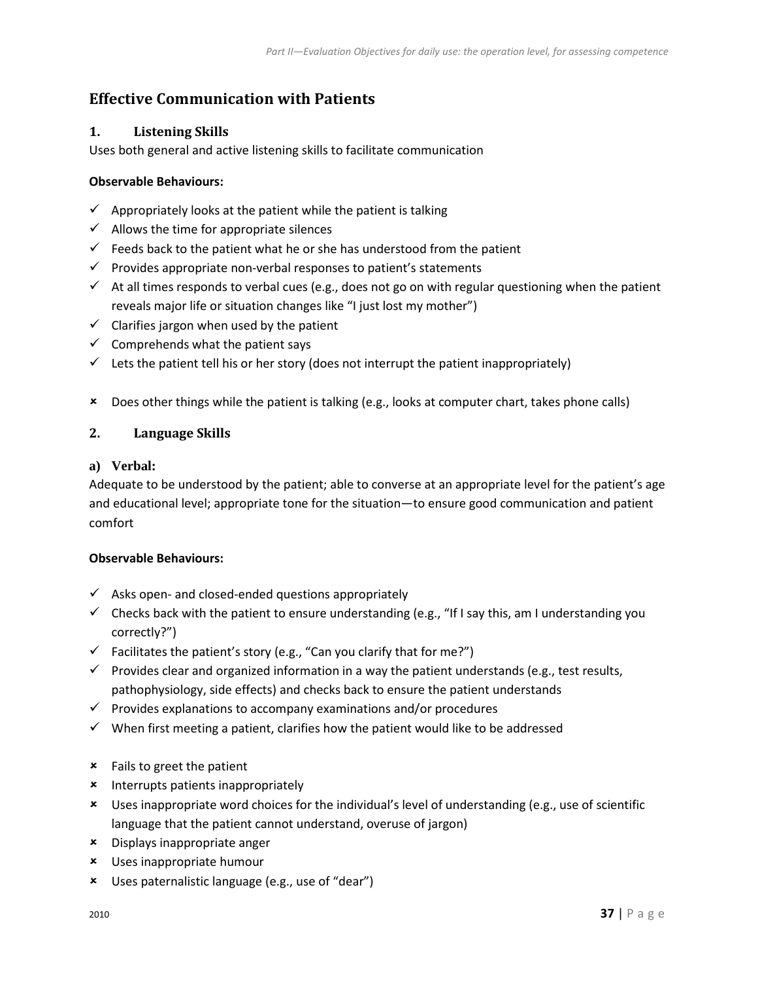# **Effective Communication with Patients**

# **1. Listening Skills**

Uses both general and active listening skills to facilitate communication

# **Observable Behaviours:**

- $\checkmark$  Appropriately looks at the patient while the patient is talking
- $\checkmark$  Allows the time for appropriate silences
- $\checkmark$  Feeds back to the patient what he or she has understood from the patient
- $\checkmark$  Provides appropriate non-verbal responses to patient's statements
- $\checkmark$  At all times responds to verbal cues (e.g., does not go on with regular questioning when the patient reveals major life or situation changes like "I just lost my mother")
- $\checkmark$  Clarifies jargon when used by the patient
- $\checkmark$  Comprehends what the patient says
- $\checkmark$  Lets the patient tell his or her story (does not interrupt the patient inappropriately)
- Does other things while the patient is talking (e.g., looks at computer chart, takes phone calls)

# **2. Language Skills**

### **a) Verbal:**

Adequate to be understood by the patient; able to converse at an appropriate level for the patient's age and educational level; appropriate tone for the situation—to ensure good communication and patient comfort

- $\checkmark$  Asks open- and closed-ended questions appropriately
- $\checkmark$  Checks back with the patient to ensure understanding (e.g., "If I say this, am I understanding you correctly?")
- $\checkmark$  Facilitates the patient's story (e.g., "Can you clarify that for me?")
- $\checkmark$  Provides clear and organized information in a way the patient understands (e.g., test results, pathophysiology, side effects) and checks back to ensure the patient understands
- $\checkmark$  Provides explanations to accompany examinations and/or procedures
- $\checkmark$  When first meeting a patient, clarifies how the patient would like to be addressed
- Fails to greet the patient
- **\*** Interrupts patients inappropriately
- Uses inappropriate word choices for the individual's level of understanding (e.g., use of scientific language that the patient cannot understand, overuse of jargon)
- Displays inappropriate anger
- Uses inappropriate humour
- Uses paternalistic language (e.g., use of "dear")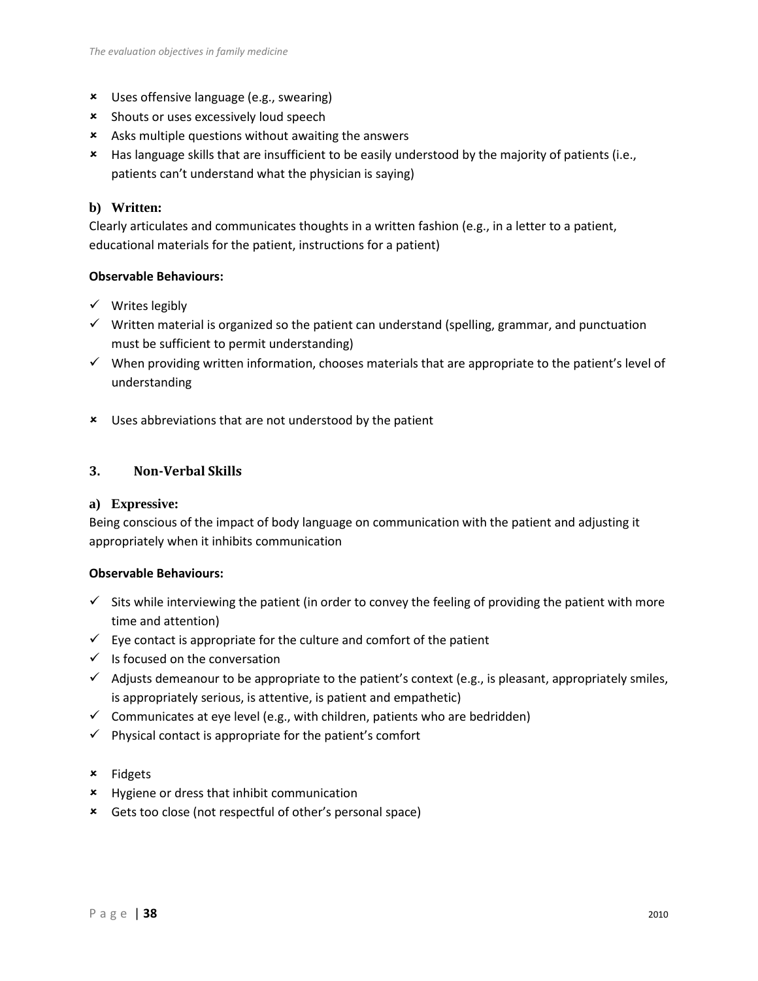- Uses offensive language (e.g., swearing)
- **\*** Shouts or uses excessively loud speech
- Asks multiple questions without awaiting the answers
- Has language skills that are insufficient to be easily understood by the majority of patients (i.e., patients can't understand what the physician is saying)

# **b) Written:**

Clearly articulates and communicates thoughts in a written fashion (e.g., in a letter to a patient, educational materials for the patient, instructions for a patient)

# **Observable Behaviours:**

- $\checkmark$  Writes legibly
- $\checkmark$  Written material is organized so the patient can understand (spelling, grammar, and punctuation must be sufficient to permit understanding)
- $\checkmark$  When providing written information, chooses materials that are appropriate to the patient's level of understanding
- Uses abbreviations that are not understood by the patient

# **3. Non-Verbal Skills**

### **a) Expressive:**

Being conscious of the impact of body language on communication with the patient and adjusting it appropriately when it inhibits communication

- $\checkmark$  Sits while interviewing the patient (in order to convey the feeling of providing the patient with more time and attention)
- $\checkmark$  Eye contact is appropriate for the culture and comfort of the patient
- $\checkmark$  Is focused on the conversation
- $\checkmark$  Adjusts demeanour to be appropriate to the patient's context (e.g., is pleasant, appropriately smiles, is appropriately serious, is attentive, is patient and empathetic)
- $\checkmark$  Communicates at eye level (e.g., with children, patients who are bedridden)
- $\checkmark$  Physical contact is appropriate for the patient's comfort
- $\times$  Fidgets
- **\*** Hygiene or dress that inhibit communication
- Gets too close (not respectful of other's personal space)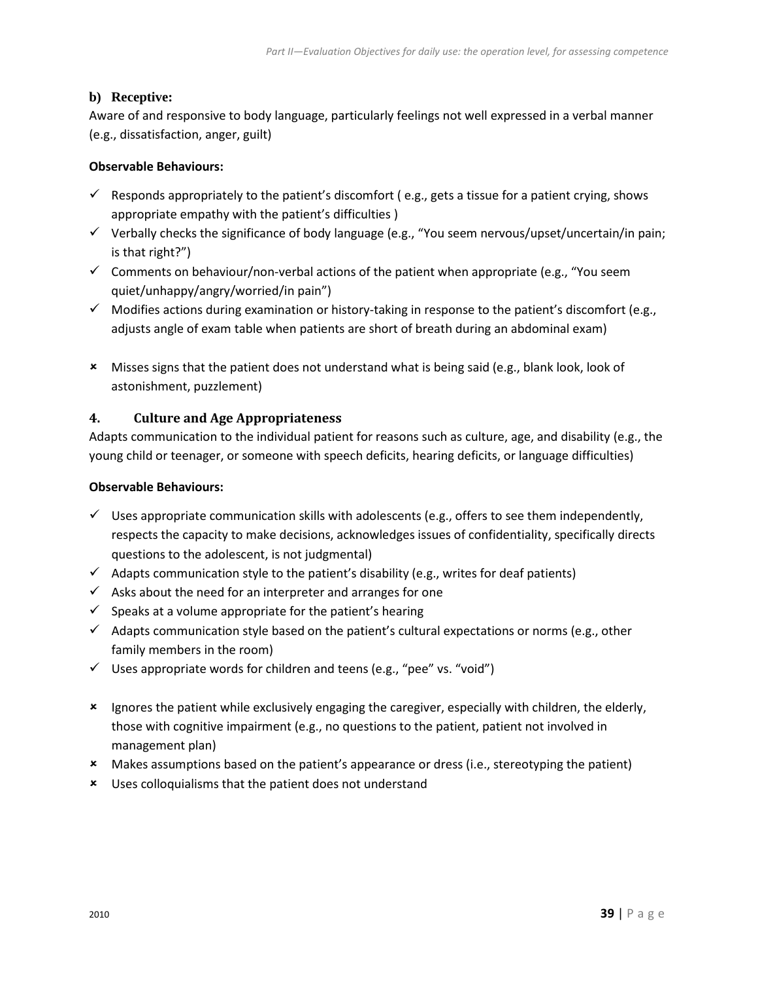# **b) Receptive:**

Aware of and responsive to body language, particularly feelings not well expressed in a verbal manner (e.g., dissatisfaction, anger, guilt)

## **Observable Behaviours:**

- $\checkmark$  Responds appropriately to the patient's discomfort (e.g., gets a tissue for a patient crying, shows appropriate empathy with the patient's difficulties )
- $\checkmark$  Verbally checks the significance of body language (e.g., "You seem nervous/upset/uncertain/in pain; is that right?")
- $\checkmark$  Comments on behaviour/non-verbal actions of the patient when appropriate (e.g., "You seem quiet/unhappy/angry/worried/in pain")
- $\checkmark$  Modifies actions during examination or history-taking in response to the patient's discomfort (e.g., adjusts angle of exam table when patients are short of breath during an abdominal exam)
- Misses signs that the patient does not understand what is being said (e.g., blank look, look of astonishment, puzzlement)

# **4. Culture and Age Appropriateness**

Adapts communication to the individual patient for reasons such as culture, age, and disability (e.g., the young child or teenager, or someone with speech deficits, hearing deficits, or language difficulties)

- $\checkmark$  Uses appropriate communication skills with adolescents (e.g., offers to see them independently, respects the capacity to make decisions, acknowledges issues of confidentiality, specifically directs questions to the adolescent, is not judgmental)
- $\checkmark$  Adapts communication style to the patient's disability (e.g., writes for deaf patients)
- $\checkmark$  Asks about the need for an interpreter and arranges for one
- $\checkmark$  Speaks at a volume appropriate for the patient's hearing
- $\checkmark$  Adapts communication style based on the patient's cultural expectations or norms (e.g., other family members in the room)
- $\checkmark$  Uses appropriate words for children and teens (e.g., "pee" vs. "void")
- Ignores the patient while exclusively engaging the caregiver, especially with children, the elderly, those with cognitive impairment (e.g., no questions to the patient, patient not involved in management plan)
- Makes assumptions based on the patient's appearance or dress (i.e., stereotyping the patient)
- Uses colloquialisms that the patient does not understand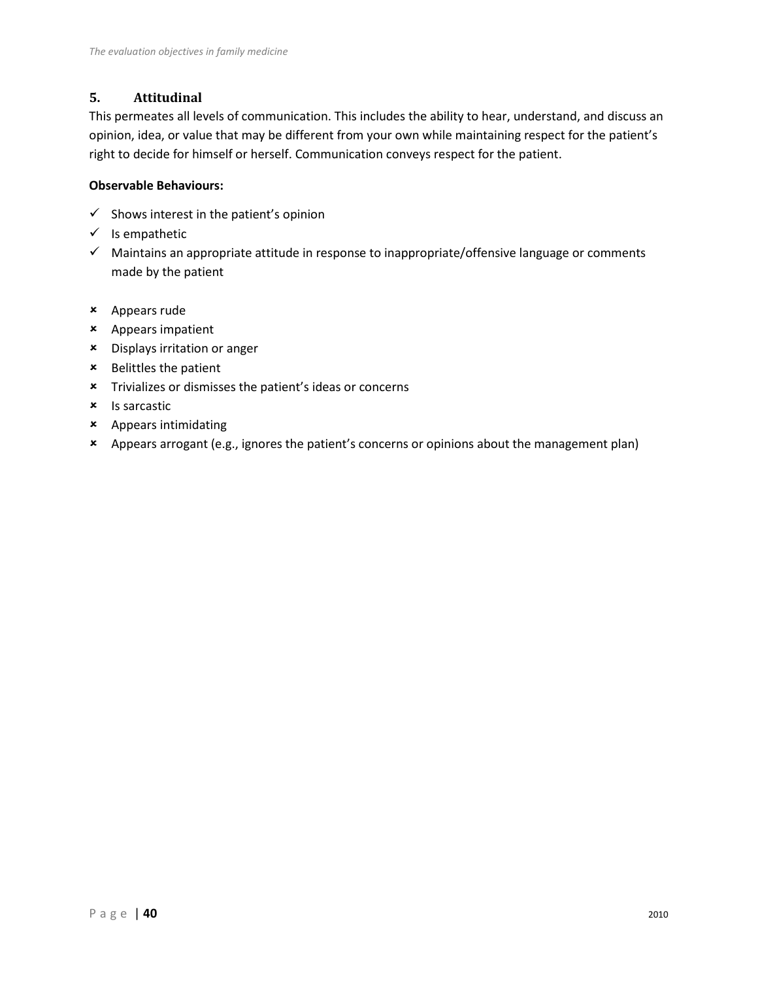# **5. Attitudinal**

This permeates all levels of communication. This includes the ability to hear, understand, and discuss an opinion, idea, or value that may be different from your own while maintaining respect for the patient's right to decide for himself or herself. Communication conveys respect for the patient.

- $\checkmark$  Shows interest in the patient's opinion
- $\checkmark$  Is empathetic
- $\checkmark$  Maintains an appropriate attitude in response to inappropriate/offensive language or comments made by the patient
- Appears rude
- Appears impatient
- Displays irritation or anger
- Belittles the patient
- Trivializes or dismisses the patient's ideas or concerns
- **x** Is sarcastic
- Appears intimidating
- Appears arrogant (e.g., ignores the patient's concerns or opinions about the management plan)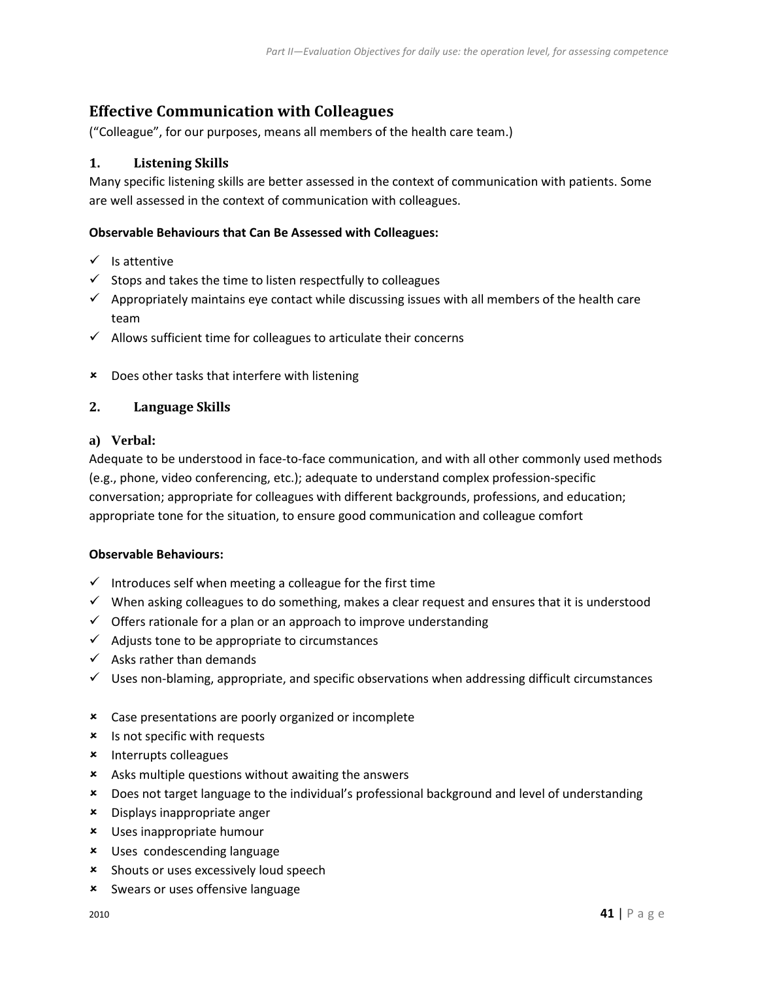# **Effective Communication with Colleagues**

("Colleague", for our purposes, means all members of the health care team.)

# **1. Listening Skills**

Many specific listening skills are better assessed in the context of communication with patients. Some are well assessed in the context of communication with colleagues.

## **Observable Behaviours that Can Be Assessed with Colleagues:**

- $\checkmark$  Is attentive
- $\checkmark$  Stops and takes the time to listen respectfully to colleagues
- $\checkmark$  Appropriately maintains eye contact while discussing issues with all members of the health care team
- $\checkmark$  Allows sufficient time for colleagues to articulate their concerns
- Does other tasks that interfere with listening

## **2. Language Skills**

### **a) Verbal:**

Adequate to be understood in face-to-face communication, and with all other commonly used methods (e.g., phone, video conferencing, etc.); adequate to understand complex profession-specific conversation; appropriate for colleagues with different backgrounds, professions, and education; appropriate tone for the situation, to ensure good communication and colleague comfort

- $\checkmark$  Introduces self when meeting a colleague for the first time
- $\checkmark$  When asking colleagues to do something, makes a clear request and ensures that it is understood
- $\checkmark$  Offers rationale for a plan or an approach to improve understanding
- $\checkmark$  Adjusts tone to be appropriate to circumstances
- $\checkmark$  Asks rather than demands
- $\checkmark$  Uses non-blaming, appropriate, and specific observations when addressing difficult circumstances
- Case presentations are poorly organized or incomplete
- **\*** Is not specific with requests
- \* Interrupts colleagues
- Asks multiple questions without awaiting the answers
- Does not target language to the individual's professional background and level of understanding
- Displays inappropriate anger
- Uses inappropriate humour
- Uses condescending language
- **\*** Shouts or uses excessively loud speech
- Swears or uses offensive language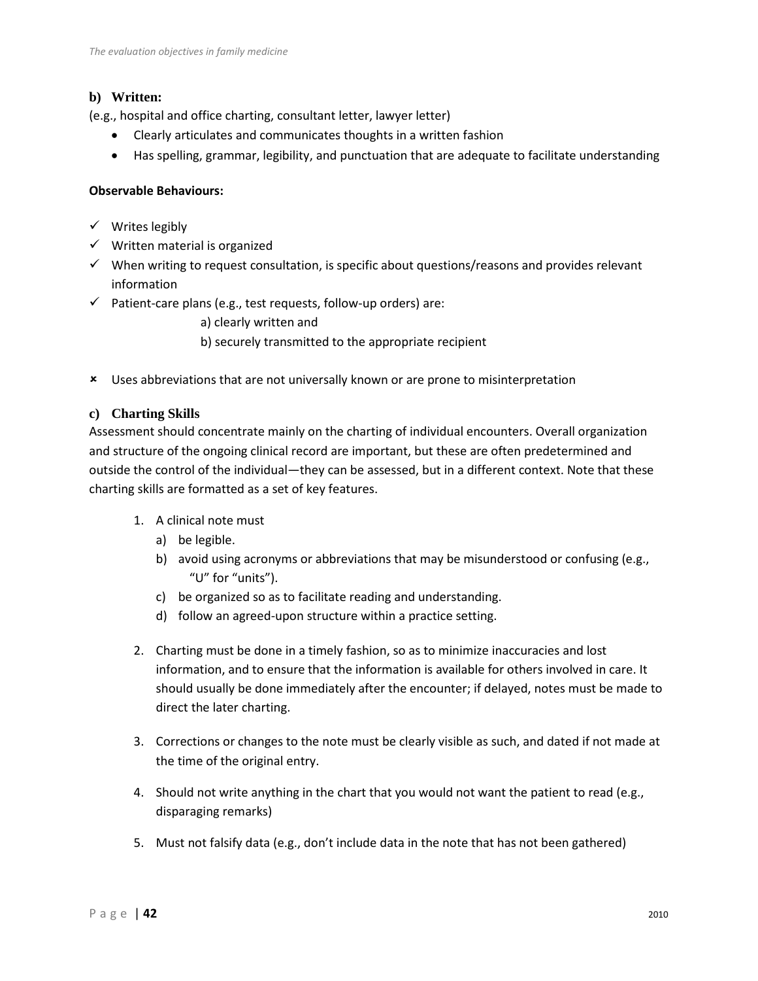# **b) Written:**

(e.g., hospital and office charting, consultant letter, lawyer letter)

- Clearly articulates and communicates thoughts in a written fashion
- Has spelling, grammar, legibility, and punctuation that are adequate to facilitate understanding

# **Observable Behaviours:**

- $\checkmark$  Writes legibly
- $\checkmark$  Written material is organized
- $\checkmark$  When writing to request consultation, is specific about questions/reasons and provides relevant information
- $\checkmark$  Patient-care plans (e.g., test requests, follow-up orders) are:

a) clearly written and

- b) securely transmitted to the appropriate recipient
- Uses abbreviations that are not universally known or are prone to misinterpretation

## **c) Charting Skills**

Assessment should concentrate mainly on the charting of individual encounters. Overall organization and structure of the ongoing clinical record are important, but these are often predetermined and outside the control of the individual—they can be assessed, but in a different context. Note that these charting skills are formatted as a set of key features.

- 1. A clinical note must
	- a) be legible.
	- b) avoid using acronyms or abbreviations that may be misunderstood or confusing (e.g., "U" for "units").
	- c) be organized so as to facilitate reading and understanding.
	- d) follow an agreed-upon structure within a practice setting.
- 2. Charting must be done in a timely fashion, so as to minimize inaccuracies and lost information, and to ensure that the information is available for others involved in care. It should usually be done immediately after the encounter; if delayed, notes must be made to direct the later charting.
- 3. Corrections or changes to the note must be clearly visible as such, and dated if not made at the time of the original entry.
- 4. Should not write anything in the chart that you would not want the patient to read (e.g., disparaging remarks)
- 5. Must not falsify data (e.g., don't include data in the note that has not been gathered)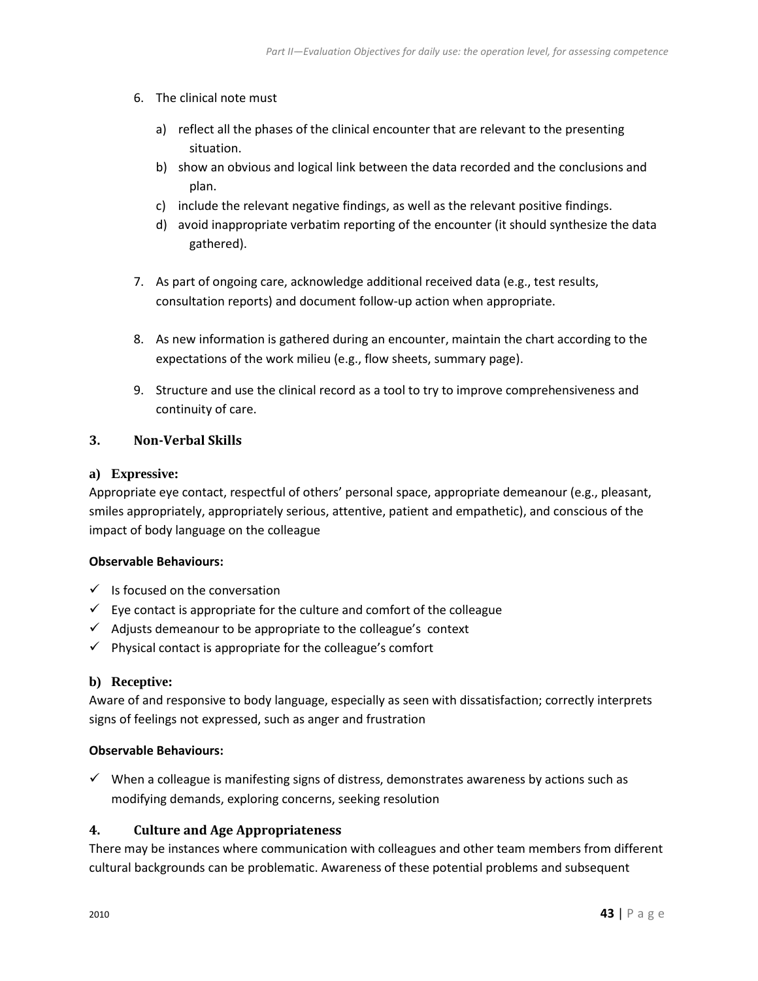- 6. The clinical note must
	- a) reflect all the phases of the clinical encounter that are relevant to the presenting situation.
	- b) show an obvious and logical link between the data recorded and the conclusions and plan.
	- c) include the relevant negative findings, as well as the relevant positive findings.
	- d) avoid inappropriate verbatim reporting of the encounter (it should synthesize the data gathered).
- 7. As part of ongoing care, acknowledge additional received data (e.g., test results, consultation reports) and document follow-up action when appropriate.
- 8. As new information is gathered during an encounter, maintain the chart according to the expectations of the work milieu (e.g., flow sheets, summary page).
- 9. Structure and use the clinical record as a tool to try to improve comprehensiveness and continuity of care.

### **3. Non-Verbal Skills**

#### **a) Expressive:**

Appropriate eye contact, respectful of others' personal space, appropriate demeanour (e.g., pleasant, smiles appropriately, appropriately serious, attentive, patient and empathetic), and conscious of the impact of body language on the colleague

#### **Observable Behaviours:**

- $\checkmark$  Is focused on the conversation
- $\checkmark$  Eye contact is appropriate for the culture and comfort of the colleague
- $\checkmark$  Adjusts demeanour to be appropriate to the colleague's context
- $\checkmark$  Physical contact is appropriate for the colleague's comfort

#### **b) Receptive:**

Aware of and responsive to body language, especially as seen with dissatisfaction; correctly interprets signs of feelings not expressed, such as anger and frustration

### **Observable Behaviours:**

 $\checkmark$  When a colleague is manifesting signs of distress, demonstrates awareness by actions such as modifying demands, exploring concerns, seeking resolution

#### **4. Culture and Age Appropriateness**

There may be instances where communication with colleagues and other team members from different cultural backgrounds can be problematic. Awareness of these potential problems and subsequent